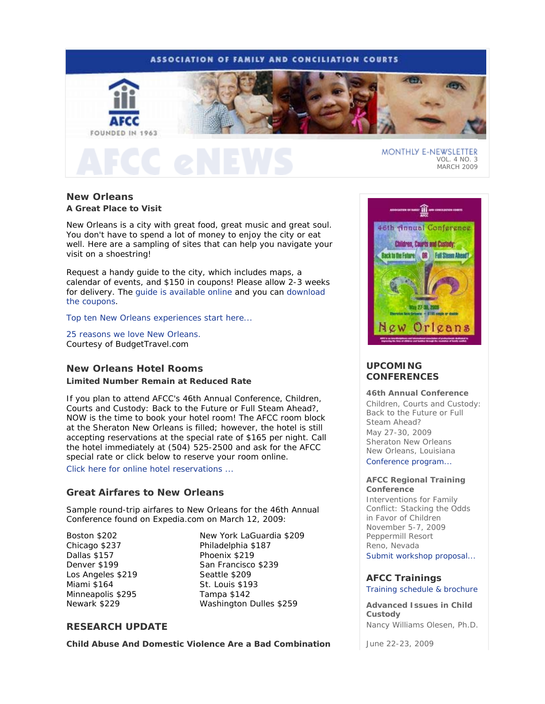# **ASSOCIATION OF FAMILY AND CONCILIATION COURTS**



# **New Orleans A Great Place to Visit**

New Orleans is a city with great food, great music and great soul. You don't have to spend a lot of money to enjoy the city or eat well. Here are a sampling of sites that can help you navigate your visit on a shoestring!

Request a handy guide to the city, which includes maps, a calendar of events, and \$150 in coupons! Please allow 2-3 weeks for delivery. The guide is available online and you can download the coupons.

Top ten New Orleans experiences start here...

25 reasons we love New Orleans. *Courtesy of BudgetTravel.com*

# **New Orleans Hotel Rooms**

## **Limited Number Remain at Reduced Rate**

If you plan to attend AFCC's 46th Annual Conference, *Children, Courts and Custody: Back to the Future or Full Steam Ahead?,*  NOW is the time to book your hotel room! The AFCC room block at the Sheraton New Orleans is filled; however, the hotel is still accepting reservations at the special rate of \$165 per night. Call the hotel immediately at (504) 525-2500 and ask for the AFCC special rate or click below to reserve your room online.

Click here for online hotel reservations ...

# **Great Airfares to New Orleans**

Sample round-trip airfares to New Orleans for the 46th Annual Conference found on Expedia.com on March 12, 2009:

Boston \$202 Chicago \$237 Dallas \$157 Denver \$199 Los Angeles \$219 Miami \$164 Minneapolis \$295 Newark \$229

New York LaGuardia \$209 Philadelphia \$187 Phoenix \$219 San Francisco \$239 Seattle \$209 St. Louis \$193 Tampa \$142 Washington Dulles \$259

# **RESEARCH UPDATE**

**Child Abuse And Domestic Violence Are a Bad Combination** 



VOL. 4 NO. 3 MARCH 2009

# **UPCOMING CONFERENCES**

## **46th Annual Conference**

*Children, Courts and Custody: Back to the Future or Full Steam Ahead?*  May 27-30, 2009 Sheraton New Orleans New Orleans, Louisiana Conference program...

#### **AFCC Regional Training Conference**

*Interventions for Family Conflict: Stacking the Odds in Favor of Children*  November 5-7, 2009 Peppermill Resort Reno, Nevada

Submit workshop proposal...

# **AFCC Trainings**

## Training schedule & brochure

**Advanced Issues in Child Custody**  *Nancy Williams Olesen, Ph.D.*

June 22-23, 2009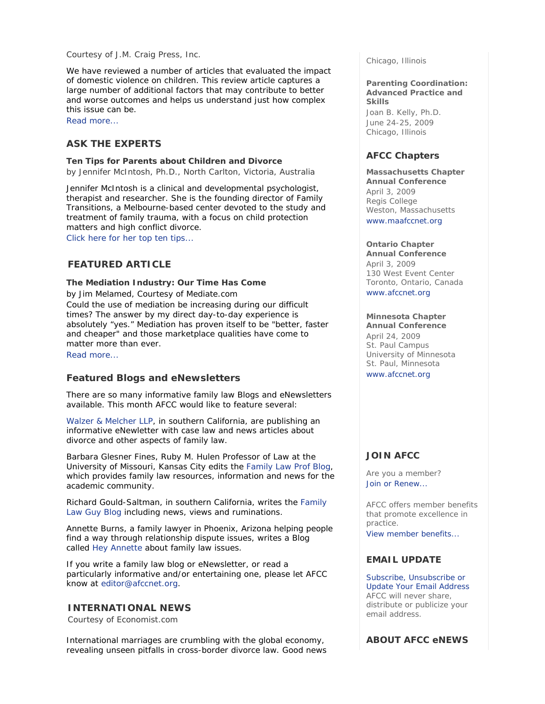## *Courtesy of J.M. Craig Press, Inc.*

We have reviewed a number of articles that evaluated the impact of domestic violence on children. This review article captures a large number of additional factors that may contribute to better and worse outcomes and helps us understand just how complex this issue can be.

Read more...

# **ASK THE EXPERTS**

## **Ten Tips for Parents about Children and Divorce**

*by Jennifer McIntosh, Ph.D., North Carlton, Victoria, Australia* 

Jennifer McIntosh is a clinical and developmental psychologist, therapist and researcher. She is the founding director of Family Transitions, a Melbourne-based center devoted to the study and treatment of family trauma, with a focus on child protection matters and high conflict divorce.

Click here for her top ten tips...

# **FEATURED ARTICLE**

**The Mediation Industry: Our Time Has Come**  *by Jim Melamed, Courtesy of Mediate.com* Could the use of mediation be increasing during our difficult times? The answer by my direct day-to-day experience is absolutely "yes." Mediation has proven itself to be "better, faster and cheaper" and those marketplace qualities have come to matter more than ever.

Read more...

# **Featured Blogs and eNewsletters**

There are so many informative family law Blogs and eNewsletters available. This month AFCC would like to feature several:

Walzer & Melcher LLP, in southern California, are publishing an informative eNewletter with case law and news articles about divorce and other aspects of family law.

Barbara Glesner Fines, Ruby M. Hulen Professor of Law at the University of Missouri, Kansas City edits the Family Law Prof Blog, which provides family law resources, information and news for the academic community.

Richard Gould-Saltman, in southern California, writes the Family Law Guy Blog including news, views and ruminations.

Annette Burns, a family lawyer in Phoenix, Arizona helping people find a way through relationship dispute issues, writes a Blog called Hey Annette about family law issues.

If you write a family law blog or eNewsletter, or read a particularly informative and/or entertaining one, please let AFCC know at editor@afccnet.org.

# **INTERNATIONAL NEWS**

*Courtesy of Economist.com*

International marriages are crumbling with the global economy, revealing unseen pitfalls in cross-border divorce law. Good news Chicago, Illinois

**Parenting Coordination: Advanced Practice and Skills** 

*Joan B. Kelly, Ph.D.* June 24-25, 2009 Chicago, Illinois

# **AFCC Chapters**

**Massachusetts Chapter Annual Conference** April 3, 2009 Regis College Weston, Massachusetts www.maafccnet.org

# **Ontario Chapter**

**Annual Conference** April 3, 2009 130 West Event Center Toronto, Ontario, Canada www.afccnet.org

#### **Minnesota Chapter**

**Annual Conference** April 24, 2009 St. Paul Campus University of Minnesota St. Paul, Minnesota www.afccnet.org

# **JOIN AFCC**

Are you a member? Join or Renew...

AFCC offers member benefits that promote excellence in practice. View member benefits...

## **EMAIL UPDATE**

Subscribe, Unsubscribe or Update Your Email Address AFCC will never share, distribute or publicize your email address.

**ABOUT AFCC eNEWS**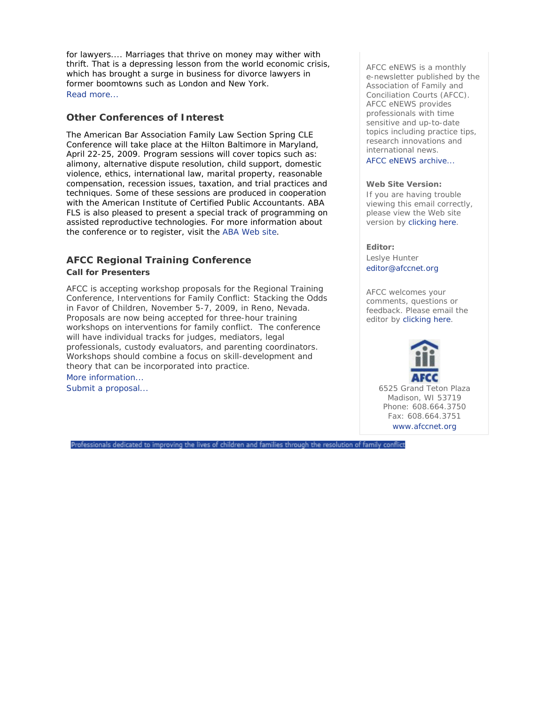for lawyers.... Marriages that thrive on money may wither with thrift. That is a depressing lesson from the world economic crisis, which has brought a surge in business for divorce lawyers in former boomtowns such as London and New York. Read more...

# **Other Conferences of Interest**

The American Bar Association Family Law Section Spring CLE Conference will take place at the Hilton Baltimore in Maryland, April 22-25, 2009. Program sessions will cover topics such as: alimony, alternative dispute resolution, child support, domestic violence, ethics, international law, marital property, reasonable compensation, recession issues, taxation, and trial practices and techniques. Some of these sessions are produced in cooperation with the American Institute of Certified Public Accountants. ABA FLS is also pleased to present a special track of programming on assisted reproductive technologies. For more information about the conference or to register, visit the ABA Web site.

# **AFCC Regional Training Conference Call for Presenters**

AFCC is accepting workshop proposals for the Regional Training Conference, *Interventions for Family Conflict: Stacking the Odds in Favor of Children*, November 5-7, 2009, in Reno, Nevada. Proposals are now being accepted for three-hour training workshops on interventions for family conflict. The conference will have individual tracks for judges, mediators, legal professionals, custody evaluators, and parenting coordinators. Workshops should combine a focus on skill-development and theory that can be incorporated into practice. More information...

Professionals dedicated to improving the lives of children and families through the resolution of family conflict

Submit a proposal...

*AFCC eNEWS* is a monthly e-newsletter published by the Association of Family and Conciliation Courts (AFCC). *AFCC eNEWS* provides professionals with time sensitive and up-to-date topics including practice tips, research innovations and international news.

AFCC eNEWS archive...

## **Web Site Version:**

If you are having trouble viewing this email correctly, please view the Web site version by clicking here.

## **Editor:**

Leslye Hunter editor@afccnet.org

AFCC welcomes your comments, questions or feedback. Please email the editor by clicking here.

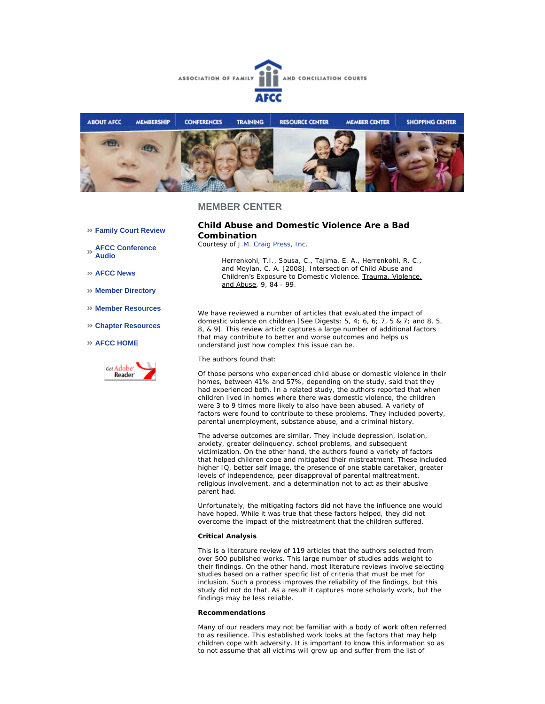



## **MEMBER CENTER**

**Family Court Review** 

**AFCC Conference Audio** 

**AFCC News** 

**Member Directory** 

- **Member Resources**
- **Chapter Resources**

#### **AFCC HOME**



## **Child Abuse and Domestic Violence Are a Bad Combination**

*Courtesy of J.M. Craig Press, Inc.*

*Herrenkohl, T.I., Sousa, C., Tajima, E. A., Herrenkohl, R. C., and Moylan, C. A. [2008]. Intersection of Child Abuse and Children's Exposure to Domestic Violence. Trauma, Violence, and Abuse, 9, 84 - 99.*

We have reviewed a number of articles that evaluated the impact of domestic violence on children [See Digests: 5, 4; 6, 6; 7, 5 & 7; and 8, 5, 8, & 9]. This review article captures a large number of additional factors that may contribute to better and worse outcomes and helps us understand just how complex this issue can be.

The authors found that:

Of those persons who experienced child abuse or domestic violence in their homes, between 41% and 57%, depending on the study, said that they had experienced both. In a related study, the authors reported that when children lived in homes where there was domestic violence, the children were 3 to 9 times more likely to also have been abused. A variety of factors were found to contribute to these problems. They included poverty, parental unemployment, substance abuse, and a criminal history.

The adverse outcomes are similar. They include depression, isolation, anxiety, greater delinquency, school problems, and subsequent victimization. On the other hand, the authors found a variety of factors that helped children cope and mitigated their mistreatment. These included higher IQ, better self image, the presence of one stable caretaker, greater levels of independence, peer disapproval of parental maltreatment, religious involvement, and a determination not to act as their abusive parent had.

Unfortunately, the mitigating factors did not have the influence one would have hoped. While it was true that these factors helped, they did not overcome the impact of the mistreatment that the children suffered.

#### **Critical Analysis**

This is a literature review of 119 articles that the authors selected from over 500 published works. This large number of studies adds weight to their findings. On the other hand, most literature reviews involve selecting studies based on a rather specific list of criteria that must be met for inclusion. Such a process improves the reliability of the findings, but this study did not do that. As a result it captures more scholarly work, but the findings may be less reliable.

#### **Recommendations**

Many of our readers may not be familiar with a body of work often referred to as resilience. This established work looks at the factors that may help children cope with adversity. It is important to know this information so as to not assume that all victims will grow up and suffer from the list of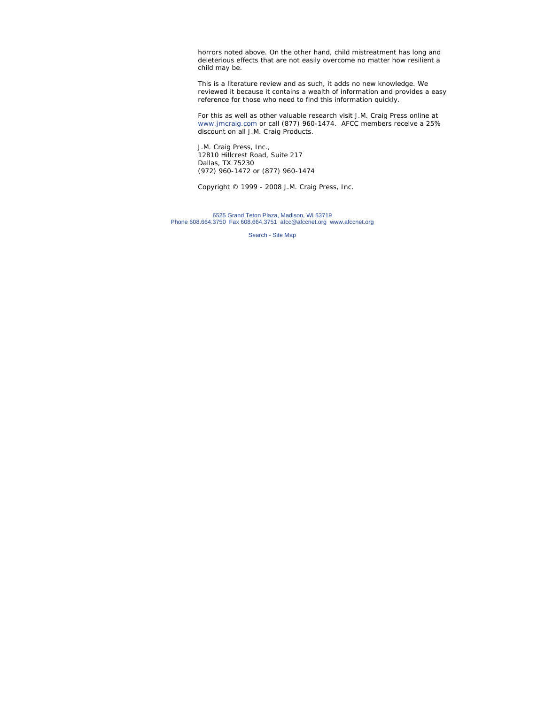horrors noted above. On the other hand, child mistreatment has long and deleterious effects that are not easily overcome no matter how resilient a child may be.

This is a literature review and as such, it adds no new knowledge. We reviewed it because it contains a wealth of information and provides a easy reference for those who need to find this information quickly.

For this as well as other valuable research visit J.M. Craig Press online at *www.jmcraig.com or call (877) 960-1474. AFCC members receive a 25% discount on all J.M. Craig Products.*

J.M. Craig Press, Inc., 12810 Hillcrest Road, Suite 217 Dallas, TX 75230 (972) 960-1472 or (877) 960-1474

*Copyright © 1999 - 2008 J.M. Craig Press, Inc.*

6525 Grand Teton Plaza, Madison, WI 53719 Phone 608.664.3750 Fax 608.664.3751 afcc@afccnet.org www.afccnet.org

Search - Site Map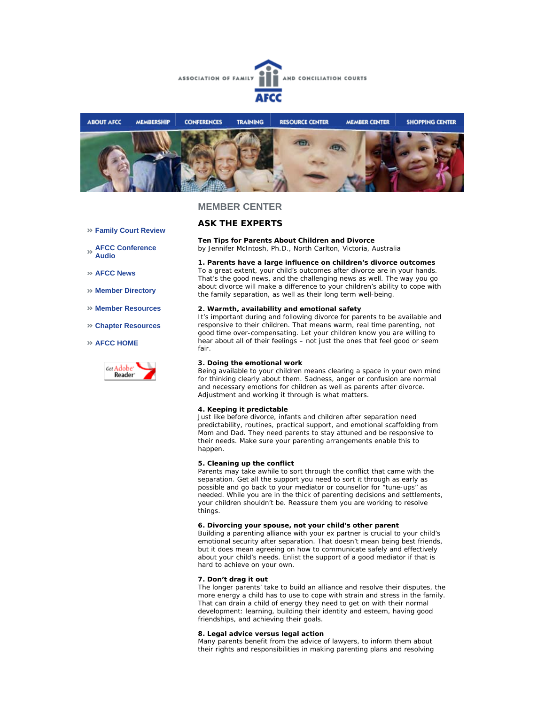



## **MEMBER CENTER**

#### **Family Court Review**

**AFCC Conference Audio** 

**AFCC News** 

- **Member Directory**
- **Member Resources**
- **Chapter Resources**

#### **AFCC HOME**



## **ASK THE EXPERTS**

**Ten Tips for Parents About Children and Divorce**

*by Jennifer McIntosh, Ph.D., North Carlton, Victoria, Australia*

#### **1. Parents have a large influence on children's divorce outcomes**

To a great extent, your child's outcomes after divorce are in your hands. That's the good news, and the challenging news as well. The way you go about divorce will make a difference to your children's ability to cope with the family separation, as well as their long term well-being.

#### **2. Warmth, availability and emotional safety**

It's important during and following divorce for parents to be available and responsive to their children. That means warm, real time parenting, not good time over-compensating. Let your children know you are willing to hear about all of their feelings – not just the ones that feel good or seem fair.

#### **3. Doing the emotional work**

Being available to your children means clearing a space in your own mind for thinking clearly about them. Sadness, anger or confusion are normal and necessary emotions for children as well as parents after divorce. Adjustment and working it through is what matters.

## **4. Keeping it predictable**

Just like before divorce, infants and children after separation need predictability, routines, practical support, and emotional scaffolding from Mom and Dad. They need parents to stay attuned and be responsive to their needs. Make sure your parenting arrangements enable this to happen.

#### **5. Cleaning up the conflict**

Parents may take awhile to sort through the conflict that came with the separation. Get all the support you need to sort it through as early as possible and go back to your mediator or counsellor for "tune-ups" as needed. While you are in the thick of parenting decisions and settlements, your children shouldn't be. Reassure them you are working to resolve things.

#### **6. Divorcing your spouse, not your child's other parent**

Building a parenting alliance with your ex partner is crucial to your child's emotional security after separation. That doesn't mean being best friends, but it does mean agreeing on how to communicate safely and effectively about your child's needs. Enlist the support of a good mediator if that is hard to achieve on your own.

#### **7. Don't drag it out**

The longer parents' take to build an alliance and resolve their disputes, the more energy a child has to use to cope with strain and stress in the family. That can drain a child of energy they need to get on with their normal development: learning, building their identity and esteem, having good friendships, and achieving their goals.

#### **8. Legal advice versus legal action**

Many parents benefit from the advice of lawyers, to inform them about their rights and responsibilities in making parenting plans and resolving